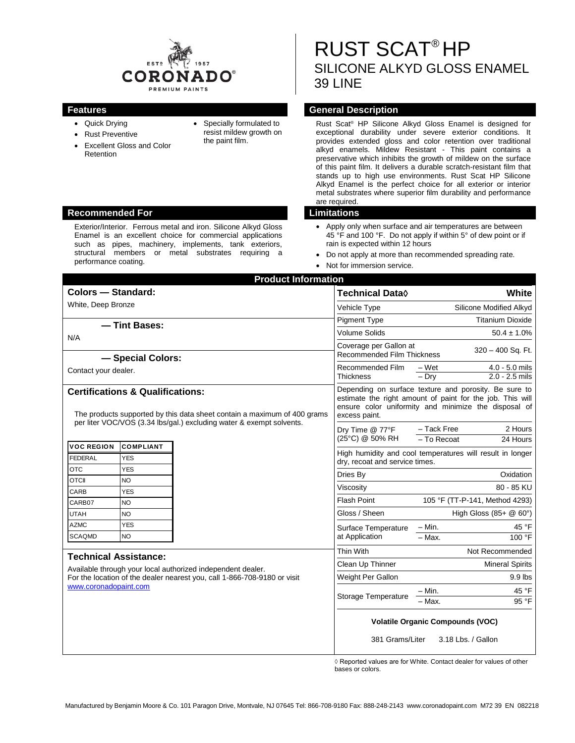

- Quick Drying
- Rust Preventive
- Excellent Gloss and Color Retention
- Specially formulated to resist mildew growth on the paint film.

RUST SCAT® HP SILICONE ALKYD GLOSS ENAMEL 39 LINE

## **Features General Description**

Rust Scat® HP Silicone Alkyd Gloss Enamel is designed for exceptional durability under severe exterior conditions. It provides extended gloss and color retention over traditional alkyd enamels. Mildew Resistant - This paint contains a preservative which inhibits the growth of mildew on the surface of this paint film. It delivers a durable scratch-resistant film that stands up to high use environments. Rust Scat HP Silicone Alkyd Enamel is the perfect choice for all exterior or interior metal substrates where superior film durability and performance are required.

- Apply only when surface and air temperatures are between 45 °F and 100 °F. Do not apply if within 5° of dew point or if rain is expected within 12 hours
- Do not apply at more than recommended spreading rate.
- Not for immersion service.

| <b>Product Information</b>                                                                                                                                                                       |                         |                 |                                                                                                                                                                                             |                                                        |
|--------------------------------------------------------------------------------------------------------------------------------------------------------------------------------------------------|-------------------------|-----------------|---------------------------------------------------------------------------------------------------------------------------------------------------------------------------------------------|--------------------------------------------------------|
| Colors - Standard:                                                                                                                                                                               |                         |                 | Technical Data◊                                                                                                                                                                             | White                                                  |
| White, Deep Bronze                                                                                                                                                                               |                         |                 | Vehicle Type                                                                                                                                                                                | Silicone Modified Alkyd                                |
|                                                                                                                                                                                                  |                         |                 | <b>Pigment Type</b>                                                                                                                                                                         | <b>Titanium Dioxide</b>                                |
| - Tint Bases:                                                                                                                                                                                    |                         |                 | <b>Volume Solids</b>                                                                                                                                                                        | $50.4 \pm 1.0\%$                                       |
| N/A<br>- Special Colors:                                                                                                                                                                         |                         |                 | Coverage per Gallon at<br>320 - 400 Sq. Ft.<br><b>Recommended Film Thickness</b>                                                                                                            |                                                        |
| Contact your dealer.                                                                                                                                                                             |                         |                 | Recommended Film<br><b>Thickness</b>                                                                                                                                                        | 4.0 - 5.0 mils<br>– Wet<br>$2.0 - 2.5$ mils<br>$-$ Dry |
| <b>Certifications &amp; Qualifications:</b><br>The products supported by this data sheet contain a maximum of 400 grams                                                                          |                         |                 | Depending on surface texture and porosity. Be sure to<br>estimate the right amount of paint for the job. This will<br>ensure color uniformity and minimize the disposal of<br>excess paint. |                                                        |
| per liter VOC/VOS (3.34 lbs/gal.) excluding water & exempt solvents.                                                                                                                             |                         | Dry Time @ 77°F | 2 Hours<br>- Tack Free                                                                                                                                                                      |                                                        |
| <b>VOC REGION</b><br><b>COMPLIANT</b>                                                                                                                                                            |                         |                 | (25°C) @ 50% RH                                                                                                                                                                             | - To Recoat<br>24 Hours                                |
| FEDERAL                                                                                                                                                                                          | <b>YES</b>              |                 | High humidity and cool temperatures will result in longer<br>dry, recoat and service times.                                                                                                 |                                                        |
| <b>OTC</b>                                                                                                                                                                                       | <b>YES</b>              |                 | Dries By                                                                                                                                                                                    | Oxidation                                              |
| <b>OTCII</b><br>CARB                                                                                                                                                                             | <b>NO</b><br><b>YES</b> |                 | Viscosity                                                                                                                                                                                   | 80 - 85 KU                                             |
| CARB07                                                                                                                                                                                           | <b>NO</b>               |                 | <b>Flash Point</b>                                                                                                                                                                          | 105 °F (TT-P-141, Method 4293)                         |
| <b>UTAH</b>                                                                                                                                                                                      | <b>NO</b>               |                 | Gloss / Sheen                                                                                                                                                                               | High Gloss $(85 + \textcircled{0} 60^{\circ})$         |
| <b>AZMC</b>                                                                                                                                                                                      | <b>YES</b>              |                 | Surface Temperature                                                                                                                                                                         | 45 °F<br>$- Min.$                                      |
| <b>SCAQMD</b>                                                                                                                                                                                    | <b>NO</b>               |                 | at Application                                                                                                                                                                              | $-Max$ .<br>100 °F                                     |
|                                                                                                                                                                                                  |                         |                 | Thin With                                                                                                                                                                                   | Not Recommended                                        |
| <b>Technical Assistance:</b><br>Available through your local authorized independent dealer.<br>For the location of the dealer nearest you, call 1-866-708-9180 or visit<br>www.coronadopaint.com |                         |                 | Clean Up Thinner                                                                                                                                                                            | <b>Mineral Spirits</b>                                 |
|                                                                                                                                                                                                  |                         |                 | Weight Per Gallon                                                                                                                                                                           | 9.9 lbs                                                |
|                                                                                                                                                                                                  |                         |                 |                                                                                                                                                                                             | 45 °F<br>$- Min.$                                      |
|                                                                                                                                                                                                  |                         |                 | <b>Storage Temperature</b>                                                                                                                                                                  | - Max.<br>95 °F                                        |
|                                                                                                                                                                                                  |                         |                 | <b>Volatile Organic Compounds (VOC)</b><br>381 Grams/Liter<br>3.18 Lbs. / Gallon                                                                                                            |                                                        |

◊ Reported values are for White. Contact dealer for values of other bases or colors.

### **Recommended For Limitations**

Exterior/Interior. Ferrous metal and iron. Silicone Alkyd Gloss Enamel is an excellent choice for commercial applications such as pipes, machinery, implements, tank exteriors, structural members or metal substrates requiring a performance coating.